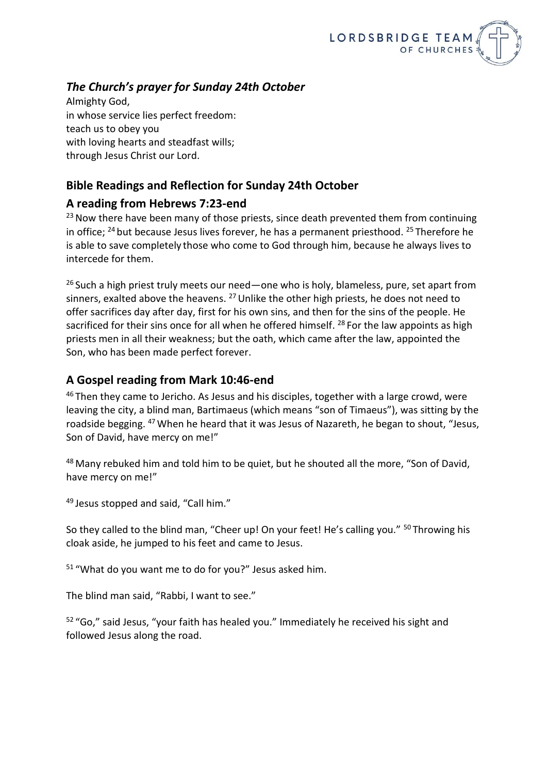

## *The Church's prayer for Sunday 24th October*

Almighty God, in whose service lies perfect freedom: teach us to obey you with loving hearts and steadfast wills; through Jesus Christ our Lord.

### **Bible Readings and Reflection for Sunday 24th October**

#### **A reading from Hebrews 7:23-end**

 $23$  Now there have been many of those priests, since death prevented them from continuing in office; <sup>24</sup> but because Jesus lives forever, he has a permanent priesthood. <sup>25</sup> Therefore he is able to save completely those who come to God through him, because he always lives to intercede for them.

 $26$  Such a high priest truly meets our need—one who is holy, blameless, pure, set apart from sinners, exalted above the heavens. <sup>27</sup> Unlike the other high priests, he does not need to offer sacrifices day after day, first for his own sins, and then for the sins of the people. He sacrificed for their sins once for all when he offered himself. <sup>28</sup> For the law appoints as high priests men in all their weakness; but the oath, which came after the law, appointed the Son, who has been made perfect forever.

#### **A Gospel reading from Mark 10:46-end**

 $46$  Then they came to Jericho. As Jesus and his disciples, together with a large crowd, were leaving the city, a blind man, Bartimaeus (which means "son of Timaeus"), was sitting by the roadside begging. <sup>47</sup> When he heard that it was Jesus of Nazareth, he began to shout, "Jesus, Son of David, have mercy on me!"

48 Many rebuked him and told him to be quiet, but he shouted all the more, "Son of David, have mercy on me!"

<sup>49</sup> Jesus stopped and said, "Call him."

So they called to the blind man, "Cheer up! On your feet! He's calling you." <sup>50</sup> Throwing his cloak aside, he jumped to his feet and came to Jesus.

<sup>51</sup> "What do you want me to do for you?" Jesus asked him.

The blind man said, "Rabbi, I want to see."

<sup>52</sup> "Go," said Jesus, "your faith has healed you." Immediately he received his sight and followed Jesus along the road.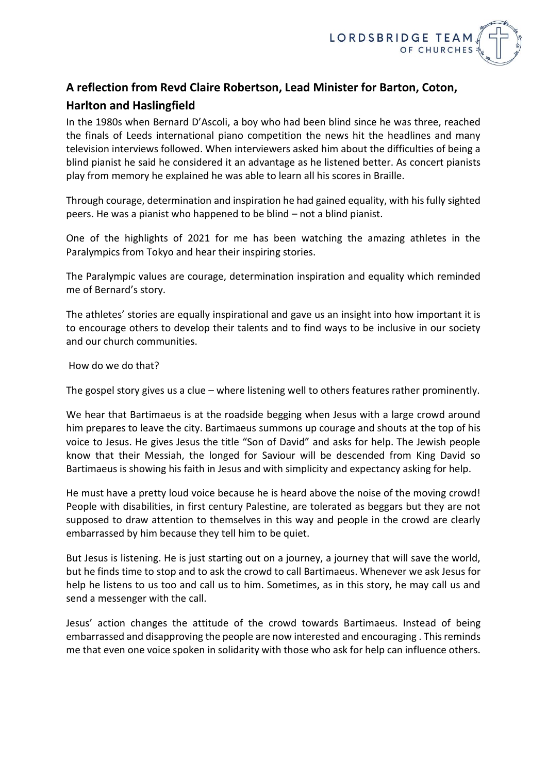

# **A reflection from Revd Claire Robertson, Lead Minister for Barton, Coton, Harlton and Haslingfield**

In the 1980s when Bernard D'Ascoli, a boy who had been blind since he was three, reached the finals of Leeds international piano competition the news hit the headlines and many television interviews followed. When interviewers asked him about the difficulties of being a blind pianist he said he considered it an advantage as he listened better. As concert pianists play from memory he explained he was able to learn all his scores in Braille.

Through courage, determination and inspiration he had gained equality, with his fully sighted peers. He was a pianist who happened to be blind – not a blind pianist.

One of the highlights of 2021 for me has been watching the amazing athletes in the Paralympics from Tokyo and hear their inspiring stories.

The Paralympic values are courage, determination inspiration and equality which reminded me of Bernard's story.

The athletes' stories are equally inspirational and gave us an insight into how important it is to encourage others to develop their talents and to find ways to be inclusive in our society and our church communities.

How do we do that?

The gospel story gives us a clue – where listening well to others features rather prominently.

We hear that Bartimaeus is at the roadside begging when Jesus with a large crowd around him prepares to leave the city. Bartimaeus summons up courage and shouts at the top of his voice to Jesus. He gives Jesus the title "Son of David" and asks for help. The Jewish people know that their Messiah, the longed for Saviour will be descended from King David so Bartimaeus is showing his faith in Jesus and with simplicity and expectancy asking for help.

He must have a pretty loud voice because he is heard above the noise of the moving crowd! People with disabilities, in first century Palestine, are tolerated as beggars but they are not supposed to draw attention to themselves in this way and people in the crowd are clearly embarrassed by him because they tell him to be quiet.

But Jesus is listening. He is just starting out on a journey, a journey that will save the world, but he finds time to stop and to ask the crowd to call Bartimaeus. Whenever we ask Jesus for help he listens to us too and call us to him. Sometimes, as in this story, he may call us and send a messenger with the call.

Jesus' action changes the attitude of the crowd towards Bartimaeus. Instead of being embarrassed and disapproving the people are now interested and encouraging . This reminds me that even one voice spoken in solidarity with those who ask for help can influence others.